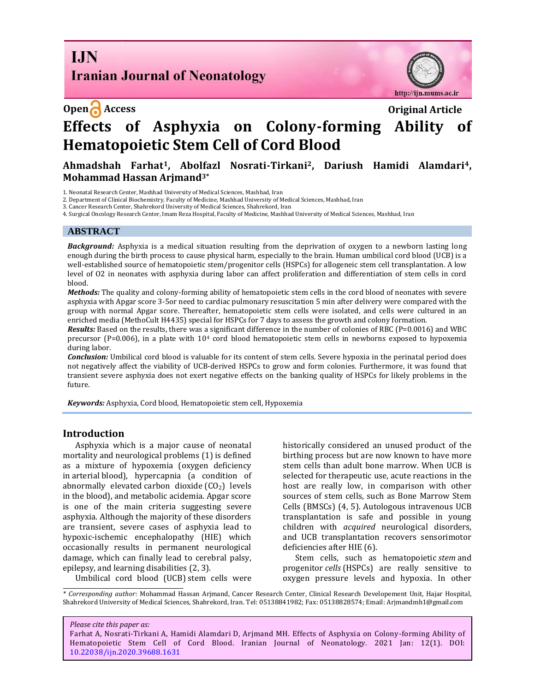**I.IN Iranian Journal of Neonatology** 



# **Open Access Original Article Effects of Asphyxia on Colony-forming Ability of Hematopoietic Stem Cell of Cord Blood**

# **Ahmadshah Farhat1, Abolfazl Nosrati-Tirkani2, Dariush Hamidi Alamdari4, Mohammad Hassan Arjmand3\***

1. Neonatal Research Center, Mashhad University of Medical Sciences, Mashhad, Iran

2. Department of Clinical Biochemistry, Faculty of Medicine, Mashhad University of Medical Sciences, Mashhad, Iran

3. Cancer Research Center, Shahrekord University of Medical Sciences, Shahrekord, Iran

4. Surgical Oncology Research Center, Imam Reza Hospital, Faculty of Medicine, Mashhad University of Medical Sciences, Mashhad, Iran

#### **ABSTRACT**

*Background:* Asphyxia is a medical situation resulting from the deprivation of oxygen to a newborn lasting long enough during the birth process to cause physical harm, especially to the brain. Human umbilical cord blood (UCB) is a well-established source of hematopoietic stem/progenitor cells (HSPCs) for allogeneic stem cell transplantation. A low level of O2 in neonates with asphyxia during labor can affect proliferation and differentiation of stem cells in cord blood.

*Methods:* The quality and colony-forming ability of hematopoietic stem cells in the cord blood of neonates with severe asphyxia with Apgar score 3-5or need to cardiac pulmonary resuscitation 5 min after delivery were compared with the group with normal Apgar score. Thereafter, hematopoietic stem cells were isolated, and cells were cultured in an enriched media (MethoCult H4435) special for HSPCs for 7 days to assess the growth and colony formation.

*Results:* Based on the results, there was a significant difference in the number of colonies of RBC (P=0.0016) and WBC precursor (P=0.006), in a plate with 10<sup>4</sup> cord blood hematopoietic stem cells in newborns exposed to hypoxemia during labor.

*Conclusion:* Umbilical cord blood is valuable for its content of stem cells. Severe hypoxia in the perinatal period does not negatively affect the viability of UCB-derived HSPCs to grow and form colonies. Furthermore, it was found that transient severe asphyxia does not exert negative effects on the banking quality of HSPCs for likely problems in the future.

*Keywords:* Asphyxia, Cord blood, Hematopoietic stem cell, Hypoxemia

### **Introduction**

Asphyxia which is a major cause of neonatal mortality and neurological problems (1) is defined as a mixture of hypoxemia (oxygen deficiency in arterial blood), hypercapnia (a condition of abnormally elevated carbon dioxide  $(CO<sub>2</sub>)$  levels in the blood), and metabolic acidemia. Apgar score is one of the main criteria suggesting severe asphyxia. Although the majority of these disorders are transient, severe cases of asphyxia lead to hypoxic-ischemic encephalopathy (HIE) which occasionally results in permanent neurological damage, which can finally lead to cerebral palsy, epilepsy, and learning disabilities (2, 3).

Umbilical cord blood (UCB) stem cells were

historically considered an unused product of the birthing process but are now known to have more stem cells than adult bone marrow. When UCB is selected for therapeutic use, acute reactions in the host are really low, in comparison with other sources of stem cells, such as Bone Marrow Stem Cells (BMSCs) (4, 5). Autologous intravenous UCB transplantation is safe and possible in young children with *acquired* neurological disorders, and UCB transplantation recovers sensorimotor deficiencies after HIE (6).

Stem cells, such as hematopoietic *stem* and progenitor *cells* (HSPCs) are really sensitive to oxygen pressure levels and hypoxia. In other

*\* Corresponding author:* Mohammad Hassan Arjmand, Cancer Research Center, Clinical Research Developement Unit, Hajar Hospital, Shahrekord University of Medical Sciences, Shahrekord, Iran. Tel: 05138841982; Fax: 05138828574; Email: Arjmandmh1@gmail.com

*Please cite this paper as:*

Farhat A, Nosrati-Tirkani A, Hamidi Alamdari D, Arjmand MH. Effects of Asphyxia on Colony-forming Ability of Hematopoietic Stem Cell of Cord Blood. Iranian Journal of Neonatology. 2021 Jan: 12(1). DOI: 10.22038/ijn.2020.39688.1631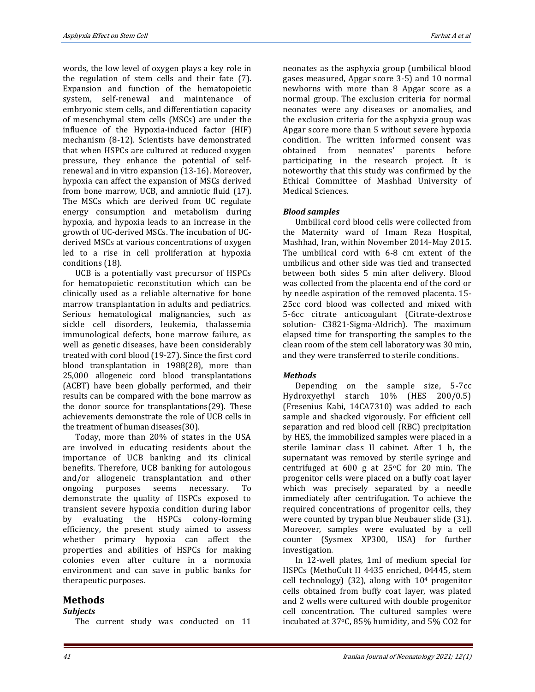words, the low level of oxygen plays a key role in the regulation of stem cells and their fate (7). Expansion and function of the hematopoietic system, self-renewal and maintenance of embryonic stem cells, and differentiation capacity of mesenchymal stem cells (MSCs) are under the influence of the Hypoxia-induced factor (HIF) mechanism (8-12). Scientists have demonstrated that when HSPCs are cultured at reduced oxygen pressure, they enhance the potential of selfrenewal and in vitro expansion (13-16). Moreover, hypoxia can affect the expansion of MSCs derived from bone marrow, UCB, and amniotic fluid (17). The MSCs which are derived from UC regulate energy consumption and metabolism during hypoxia, and hypoxia leads to an increase in the growth of UC-derived MSCs. The incubation of UCderived MSCs at various concentrations of oxygen led to a rise in cell proliferation at hypoxia conditions (18).

UCB is a potentially vast precursor of HSPCs for hematopoietic reconstitution which can be clinically used as a reliable alternative for bone marrow transplantation in adults and pediatrics. Serious hematological malignancies, such as sickle cell disorders, leukemia, thalassemia immunological defects, bone marrow failure, as well as genetic diseases, have been considerably treated with cord blood (19-27). Since the first cord blood transplantation in 1988(28), more than 25,000 allogeneic cord blood transplantations (ACBT) have been globally performed, and their results can be compared with the bone marrow as the donor source for transplantations(29). These achievements demonstrate the role of UCB cells in the treatment of human diseases(30).

Today, more than 20% of states in the USA are involved in educating residents about the importance of UCB banking and its clinical benefits. Therefore, UCB banking for autologous and/or allogeneic transplantation and other ongoing purposes seems necessary. To demonstrate the quality of HSPCs exposed to transient severe hypoxia condition during labor by evaluating the HSPCs colony-forming efficiency, the present study aimed to assess whether primary hypoxia can affect the properties and abilities of HSPCs for making colonies even after culture in a normoxia environment and can save in public banks for therapeutic purposes.

# **Methods**

## *Subjects*

The current study was conducted on 11

neonates as the asphyxia group (umbilical blood gases measured, Apgar score 3-5) and 10 normal newborns with more than 8 Apgar score as a normal group. The exclusion criteria for normal neonates were any diseases or anomalies, and the exclusion criteria for the asphyxia group was Apgar score more than 5 without severe hypoxia condition. The written informed consent was obtained from neonates' parents before participating in the research project. It is noteworthy that this study was confirmed by the Ethical Committee of Mashhad University of Medical Sciences.

## *Blood samples*

Umbilical cord blood cells were collected from the Maternity ward of Imam Reza Hospital, Mashhad, Iran, within November 2014-May 2015. The umbilical cord with 6-8 cm extent of the umbilicus and other side was tied and transected between both sides 5 min after delivery. Blood was collected from the placenta end of the cord or by needle aspiration of the removed placenta. 15- 25cc cord blood was collected and mixed with 5-6cc citrate anticoagulant (Citrate-dextrose solution- C3821-Sigma-Aldrich). The maximum elapsed time for transporting the samples to the clean room of the stem cell laboratory was 30 min, and they were transferred to sterile conditions.

## *Methods*

Depending on the sample size, 5-7cc Hydroxyethyl starch 10% (HES 200/0.5) (Fresenius Kabi, 14CA7310) was added to each sample and shacked vigorously. For efficient cell separation and red blood cell (RBC) precipitation by HES, the immobilized samples were placed in a sterile laminar class II cabinet. After 1 h, the supernatant was removed by sterile syringe and centrifuged at  $600 \text{ g}$  at  $25\text{°C}$  for 20 min. The progenitor cells were placed on a buffy coat layer which was precisely separated by a needle immediately after centrifugation. To achieve the required concentrations of progenitor cells, they were counted by trypan blue Neubauer slide (31). Moreover, samples were evaluated by a cell counter (Sysmex XP300, USA) for further investigation.

In 12-well plates, 1ml of medium special for HSPCs (MethoCult H 4435 enriched, 04445, stem cell technology) (32), along with  $10<sup>4</sup>$  progenitor cells obtained from buffy coat layer, was plated and 2 wells were cultured with double progenitor cell concentration. The cultured samples were incubated at 37oC, 85% humidity, and 5% CO2 for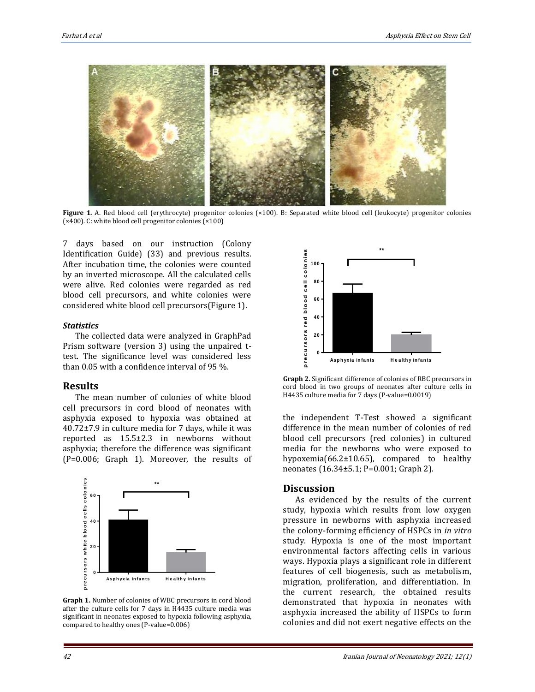

**Figure 1***.* A. Red blood cell (erythrocyte) progenitor colonies (×100). B: Separated white blood cell (leukocyte) progenitor colonies (×400). C: white blood cell progenitor colonies (×100)

7 days based on our instruction (Colony Identification Guide) (33) and previous results. After incubation time, the colonies were counted by an inverted microscope. All the calculated cells were alive. Red colonies were regarded as red blood cell precursors, and white colonies were considered white blood cell precursors(Figure 1).

#### *Statistics*

The collected data were analyzed in GraphPad Prism software (version 3) using the unpaired ttest. The significance level was considered less than 0.05 with a confidence interval of 95 %.

## **Results**

The mean number of colonies of white blood cell precursors in cord blood of neonates with asphyxia exposed to hypoxia was obtained at 40.72±7.9 in culture media for 7 days, while it was reported as 15.5±2.3 in newborns without asphyxia; therefore the difference was significant (P=0.006; Graph 1). Moreover, the results of



**Graph 1.** Number of colonies of WBC precursors in cord blood after the culture cells for 7 days in H4435 culture media was significant in neonates exposed to hypoxia following asphyxia, compared to healthy ones (P-value=0.006)



**Graph 2.** Significant difference of colonies of RBC precursors in cord blood in two groups of neonates after culture cells in H4435 culture media for 7 days (P-value=0.0019)

the independent T-Test showed a significant difference in the mean number of colonies of red blood cell precursors (red colonies) in cultured media for the newborns who were exposed to hypoxemia(66.2±10.65), compared to healthy neonates (16.34±5.1; P=0.001; Graph 2).

## **Discussion**

As evidenced by the results of the current study, hypoxia which results from low oxygen pressure in newborns with asphyxia increased the colony-forming efficiency of HSPCs in *in vitro* study. Hypoxia is one of the most important environmental factors affecting cells in various ways. Hypoxia plays a significant role in different features of cell biogenesis, such as metabolism, migration, proliferation, and differentiation. In the current research, the obtained results demonstrated that hypoxia in neonates with asphyxia increased the ability of HSPCs to form colonies and did not exert negative effects on the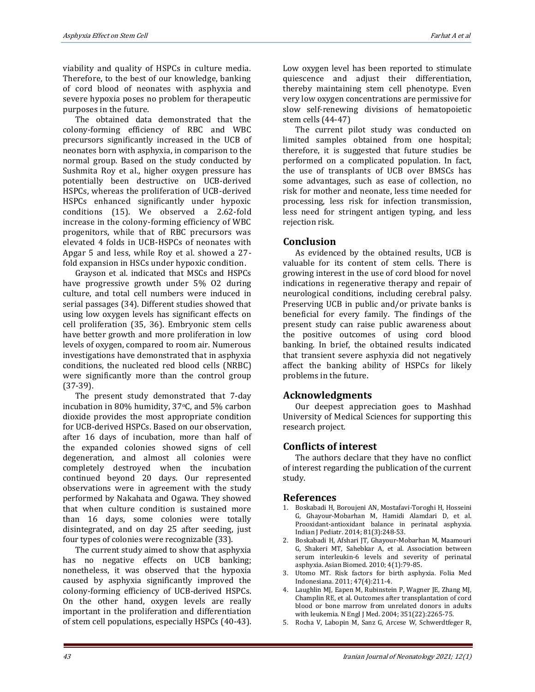viability and quality of HSPCs in culture media. Therefore, to the best of our knowledge, banking of cord blood of neonates with asphyxia and severe hypoxia poses no problem for therapeutic purposes in the future.

The obtained data demonstrated that the colony-forming efficiency of RBC and WBC precursors significantly increased in the UCB of neonates born with asphyxia, in comparison to the normal group. Based on the study conducted by Sushmita Roy et al., higher oxygen pressure has potentially been destructive on UCB-derived HSPCs, whereas the proliferation of UCB-derived HSPCs enhanced significantly under hypoxic conditions (15). We observed a 2.62-fold increase in the colony-forming efficiency of WBC progenitors, while that of RBC precursors was elevated 4 folds in UCB-HSPCs of neonates with Apgar 5 and less, while Roy et al. showed a 27 fold expansion in HSCs under hypoxic condition.

Grayson et al. indicated that MSCs and HSPCs have progressive growth under 5% O2 during culture, and total cell numbers were induced in serial passages (34). Different studies showed that using low oxygen levels has significant effects on cell proliferation (35, 36). Embryonic stem cells have better growth and more proliferation in low levels of oxygen, compared to room air. Numerous investigations have demonstrated that in asphyxia conditions, the nucleated red blood cells (NRBC) were significantly more than the control group (37-39).

The present study demonstrated that 7-day incubation in 80% humidity,  $37^{\circ}$ C, and 5% carbon dioxide provides the most appropriate condition for UCB-derived HSPCs. Based on our observation, after 16 days of incubation, more than half of the expanded colonies showed signs of cell degeneration, and almost all colonies were completely destroyed when the incubation continued beyond 20 days. Our represented observations were in agreement with the study performed by Nakahata and Ogawa. They showed that when culture condition is sustained more than 16 days, some colonies were totally disintegrated, and on day 25 after seeding, just four types of colonies were recognizable (33).

The current study aimed to show that asphyxia has no negative effects on UCB banking; nonetheless, it was observed that the hypoxia caused by asphyxia significantly improved the colony-forming efficiency of UCB-derived HSPCs. On the other hand, oxygen levels are really important in the proliferation and differentiation of stem cell populations, especially HSPCs (40-43). Low oxygen level has been reported to stimulate quiescence and adjust their differentiation, thereby maintaining stem cell phenotype. Even very low oxygen concentrations are permissive for slow self-renewing divisions of hematopoietic stem cells (44-47)

The current pilot study was conducted on limited samples obtained from one hospital; therefore, it is suggested that future studies be performed on a complicated population. In fact, the use of transplants of UCB over BMSCs has some advantages, such as ease of collection, no risk for mother and neonate, less time needed for processing, less risk for infection transmission, less need for stringent antigen typing, and less rejection risk.

## **Conclusion**

As evidenced by the obtained results, UCB is valuable for its content of stem cells. There is growing interest in the use of cord blood for novel indications in regenerative therapy and repair of neurological conditions, including cerebral palsy. Preserving UCB in public and/or private banks is beneficial for every family. The findings of the present study can raise public awareness about the positive outcomes of using cord blood banking. In brief, the obtained results indicated that transient severe asphyxia did not negatively affect the banking ability of HSPCs for likely problems in the future.

# **Acknowledgments**

Our deepest appreciation goes to Mashhad University of Medical Sciences for supporting this research project.

# **Conflicts of interest**

The authors declare that they have no conflict of interest regarding the publication of the current study.

# **References**

- 1. Boskabadi H, Boroujeni AN, Mostafavi-Toroghi H, Hosseini G, Ghayour-Mobarhan M, Hamidi Alamdari D, et al. Prooxidant-antioxidant balance in perinatal asphyxia. Indian J Pediatr. 2014; 81(3):248-53.
- 2. Boskabadi H, Afshari JT, Ghayour-Mobarhan M, Maamouri G, Shakeri MT, Sahebkar A, et al. Association between serum interleukin-6 levels and severity of perinatal asphyxia. Asian Biomed. 2010; 4(1):79-85.
- 3. Utomo MT. Risk factors for birth asphyxia. Folia Med Indonesiana. 2011; 47(4):211-4.
- 4. Laughlin MJ, Eapen M, Rubinstein P, Wagner JE, Zhang MJ, Champlin RE, et al. Outcomes after transplantation of cord blood or bone marrow from unrelated donors in adults with leukemia. N Engl J Med. 2004; 351(22):2265-75.
- 5. Rocha V, Labopin M, Sanz G, Arcese W, Schwerdtfeger R,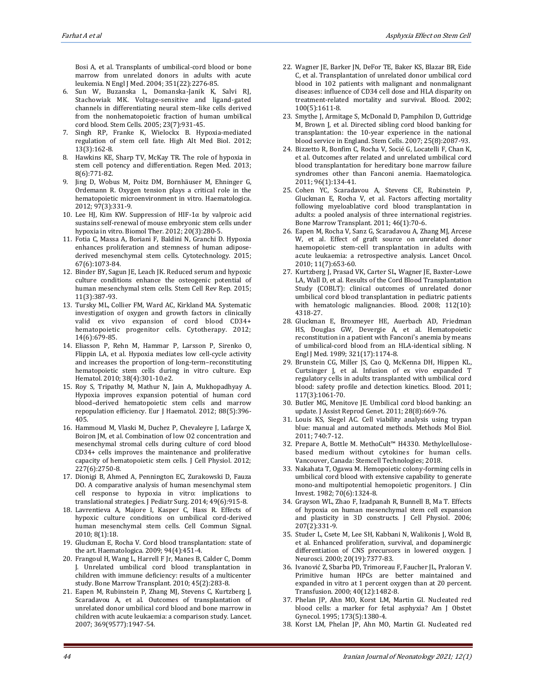Bosi A, et al. Transplants of umbilical-cord blood or bone marrow from unrelated donors in adults with acute leukemia. N Engl J Med. 2004; 351(22):2276-85.

- 6. Sun W, Buzanska L, Domanska‐Janik K, Salvi RJ, Stachowiak MK. Voltage‐sensitive and ligand‐gated channels in differentiating neural stem–like cells derived from the nonhematopoietic fraction of human umbilical cord blood. Stem Cells. 2005; 23(7):931-45.
- 7. Singh RP, Franke K, Wielockx B. Hypoxia-mediated regulation of stem cell fate. High Alt Med Biol. 2012; 13(3):162-8.
- 8. Hawkins KE, Sharp TV, McKay TR. The role of hypoxia in stem cell potency and differentiation. Regen Med. 2013; 8(6):771-82.
- 9. Jing D, Wobus M, Poitz DM, Bornhäuser M, Ehninger G, Ordemann R. Oxygen tension plays a critical role in the hematopoietic microenvironment in vitro. Haematologica. 2012; 97(3):331-9.
- 10. Lee HJ, Kim KW. Suppression of HIF-1α by valproic acid sustains self-renewal of mouse embryonic stem cells under hypoxia in vitro. Biomol Ther. 2012; 20(3):280-5.
- 11. Fotia C, Massa A, Boriani F, Baldini N, Granchi D. Hypoxia enhances proliferation and stemness of human adiposederived mesenchymal stem cells. Cytotechnology. 2015; 67(6):1073-84.
- 12. Binder BY, Sagun JE, Leach JK. Reduced serum and hypoxic culture conditions enhance the osteogenic potential of human mesenchymal stem cells. Stem Cell Rev Rep. 2015; 11(3):387-93.
- 13. Tursky ML, Collier FM, Ward AC, Kirkland MA. Systematic investigation of oxygen and growth factors in clinically valid ex vivo expansion of cord blood CD34+ hematopoietic progenitor cells. Cytotherapy. 2012; 14(6):679-85.
- 14. Eliasson P, Rehn M, Hammar P, Larsson P, Sirenko O, Flippin LA, et al. Hypoxia mediates low cell-cycle activity and increases the proportion of long-term–reconstituting hematopoietic stem cells during in vitro culture. Exp Hematol. 2010; 38(4):301-10.e2.
- 15. Roy S, Tripathy M, Mathur N, Jain A, Mukhopadhyay A. Hypoxia improves expansion potential of human cord blood–derived hematopoietic stem cells and marrow repopulation efficiency. Eur J Haematol. 2012; 88(5):396- 405.
- 16. Hammoud M, Vlaski M, Duchez P, Chevaleyre J, Lafarge X, Boiron JM, et al. Combination of low O2 concentration and mesenchymal stromal cells during culture of cord blood CD34+ cells improves the maintenance and proliferative capacity of hematopoietic stem cells. J Cell Physiol. 2012; 227(6):2750-8.
- 17. Dionigi B, Ahmed A, Pennington EC, Zurakowski D, Fauza DO. A comparative analysis of human mesenchymal stem cell response to hypoxia in vitro: implications to translational strategies. J Pediatr Surg. 2014; 49(6):915-8.
- 18. Lavrentieva A, Majore I, Kasper C, Hass R. Effects of hypoxic culture conditions on umbilical cord-derived human mesenchymal stem cells. Cell Commun Signal. 2010; 8(1):18.
- 19. Gluckman E, Rocha V. Cord blood transplantation: state of the art. Haematologica. 2009; 94(4):451-4.
- 20. Frangoul H, Wang L, Harrell F Jr, Manes B, Calder C, Domm J. Unrelated umbilical cord blood transplantation in children with immune deficiency: results of a multicenter study. Bone Marrow Transplant. 2010; 45(2):283-8.
- 21. Eapen M, Rubinstein P, Zhang MJ, Stevens C, Kurtzberg J, Scaradavou A, et al. Outcomes of transplantation of unrelated donor umbilical cord blood and bone marrow in children with acute leukaemia: a comparison study. Lancet. 2007; 369(9577):1947-54.
- 22. Wagner JE, Barker JN, DeFor TE, Baker KS, Blazar BR, Eide C, et al. Transplantation of unrelated donor umbilical cord blood in 102 patients with malignant and nonmalignant diseases: influence of CD34 cell dose and HLA disparity on treatment-related mortality and survival. Blood. 2002; 100(5):1611-8.
- 23. Smythe J, Armitage S, McDonald D, Pamphilon D, Guttridge M, Brown J, et al. Directed sibling cord blood banking for transplantation: the 10‐year experience in the national blood service in England. Stem Cells. 2007; 25(8):2087-93.
- 24. Bizzetto R, Bonfim C, Rocha V, Socié G, Locatelli F, Chan K, et al. Outcomes after related and unrelated umbilical cord blood transplantation for hereditary bone marrow failure syndromes other than Fanconi anemia. Haematologica. 2011; 96(1):134-41.
- 25. Cohen YC, Scaradavou A, Stevens CE, Rubinstein P, Gluckman E, Rocha V, et al. Factors affecting mortality following myeloablative cord blood transplantation in adults: a pooled analysis of three international registries. Bone Marrow Transplant. 2011; 46(1):70-6.
- 26. Eapen M, Rocha V, Sanz G, Scaradavou A, Zhang MJ, Arcese W, et al. Effect of graft source on unrelated donor haemopoietic stem-cell transplantation in adults with acute leukaemia: a retrospective analysis. Lancet Oncol. 2010; 11(7):653-60.
- 27. Kurtzberg J, Prasad VK, Carter SL, Wagner JE, Baxter-Lowe LA, Wall D, et al. Results of the Cord Blood Transplantation Study (COBLT): clinical outcomes of unrelated donor umbilical cord blood transplantation in pediatric patients with hematologic malignancies. Blood. 2008; 112(10): 4318-27.
- 28. Gluckman E, Broxmeyer HE, Auerbach AD, Friedman HS, Douglas GW, Devergie A, et al. Hematopoietic reconstitution in a patient with Fanconi's anemia by means of umbilical-cord blood from an HLA-identical sibling. N Engl J Med. 1989; 321(17):1174-8.
- 29. Brunstein CG, Miller JS, Cao Q, McKenna DH, Hippen KL, Curtsinger J, et al. Infusion of ex vivo expanded T regulatory cells in adults transplanted with umbilical cord blood: safety profile and detection kinetics. Blood. 2011; 117(3):1061-70.
- 30. Butler MG, Menitove JE. Umbilical cord blood banking: an update. J Assist Reprod Genet. 2011; 28(8):669-76.
- 31. Louis KS, Siegel AC. Cell viability analysis using trypan blue: manual and automated methods. Methods Mol Biol. 2011; 740:7-12.
- 32. Prepare A, Bottle M. MethoCult™ H4330. Methylcellulosebased medium without cytokines for human cells. Vancouver, Canada: Stemcell Technologies; 2018.
- 33. Nakahata T, Ogawa M. Hemopoietic colony-forming cells in umbilical cord blood with extensive capability to generate mono-and multipotential hemopoietic progenitors. J Clin Invest. 1982; 70(6):1324-8.
- 34. Grayson WL, Zhao F, Izadpanah R, Bunnell B, Ma T. Effects of hypoxia on human mesenchymal stem cell expansion and plasticity in 3D constructs. J Cell Physiol. 2006; 207(2):331-9.
- 35. Studer L, Csete M, Lee SH, Kabbani N, Walikonis J, Wold B, et al. Enhanced proliferation, survival, and dopaminergic differentiation of CNS precursors in lowered oxygen. J Neurosci. 2000; 20(19):7377-83.
- 36. Ivanović Z, Sbarba PD, Trimoreau F, Faucher JL, Praloran V. Primitive human HPCs are better maintained and expanded in vitro at 1 percent oxygen than at 20 percent. Transfusion. 2000; 40(12):1482-8.
- 37. Phelan JP, Ahn MO, Korst LM, Martin GI. Nucleated red blood cells: a marker for fetal asphyxia? Am J Obstet Gynecol. 1995; 173(5):1380-4.
- 38. Korst LM, Phelan JP, Ahn MO, Martin GI. Nucleated red